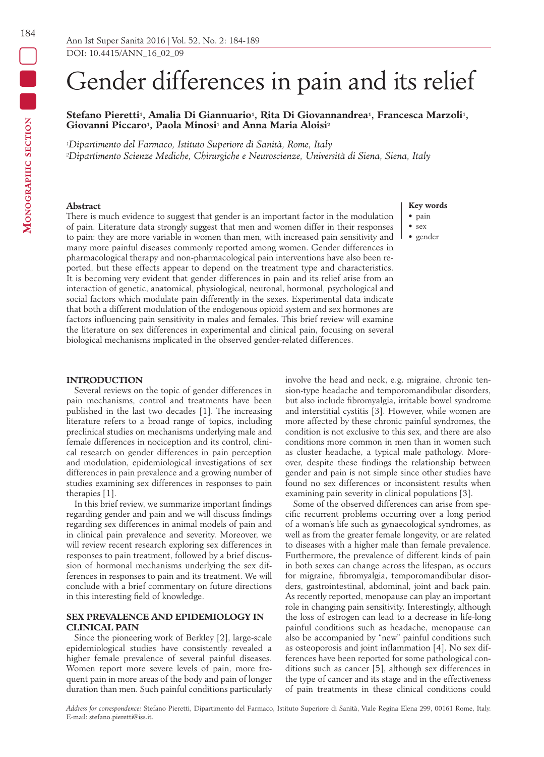# Gender differences in pain and its relief

Stefano Pieretti<sup>1</sup>, Amalia Di Giannuario<sup>1</sup>, Rita Di Giovannandrea<sup>1</sup>, Francesca Marzoli<sup>1</sup>, Giovanni Piccaro<sup>1</sup>, Paola Minosi<sup>1</sup> and Anna Maria Aloisi<sup>2</sup>

*1Dipartimento del Farmaco, Istituto Superiore di Sanità, Rome, Italy 2Dipartimento Scienze Mediche, Chirurgiche e Neuroscienze, Università di Siena, Siena, Italy* 

#### **Abstract**

There is much evidence to suggest that gender is an important factor in the modulation of pain. Literature data strongly suggest that men and women differ in their responses to pain: they are more variable in women than men, with increased pain sensitivity and many more painful diseases commonly reported among women. Gender differences in pharmacological therapy and non-pharmacological pain interventions have also been reported, but these effects appear to depend on the treatment type and characteristics. It is becoming very evident that gender differences in pain and its relief arise from an interaction of genetic, anatomical, physiological, neuronal, hormonal, psychological and social factors which modulate pain differently in the sexes. Experimental data indicate that both a different modulation of the endogenous opioid system and sex hormones are factors influencing pain sensitivity in males and females. This brief review will examine the literature on sex differences in experimental and clinical pain, focusing on several biological mechanisms implicated in the observed gender-related differences.

## **Key words**

- pain • sex
- gender

**INTRODUCTION**

Several reviews on the topic of gender differences in pain mechanisms, control and treatments have been published in the last two decades [1]. The increasing literature refers to a broad range of topics, including preclinical studies on mechanisms underlying male and female differences in nociception and its control, clinical research on gender differences in pain perception and modulation, epidemiological investigations of sex differences in pain prevalence and a growing number of studies examining sex differences in responses to pain therapies [1].

In this brief review, we summarize important findings regarding gender and pain and we will discuss findings regarding sex differences in animal models of pain and in clinical pain prevalence and severity. Moreover, we will review recent research exploring sex differences in responses to pain treatment, followed by a brief discussion of hormonal mechanisms underlying the sex differences in responses to pain and its treatment. We will conclude with a brief commentary on future directions in this interesting field of knowledge.

## **SEX PREVALENCE AND EPIDEMIOLOGY IN CLINICAL PAIN**

Since the pioneering work of Berkley [2], large-scale epidemiological studies have consistently revealed a higher female prevalence of several painful diseases. Women report more severe levels of pain, more frequent pain in more areas of the body and pain of longer duration than men. Such painful conditions particularly involve the head and neck, e.g. migraine, chronic tension-type headache and temporomandibular disorders, but also include fibromyalgia, irritable bowel syndrome and interstitial cystitis [3]. However, while women are more affected by these chronic painful syndromes, the condition is not exclusive to this sex, and there are also conditions more common in men than in women such as cluster headache, a typical male pathology. Moreover, despite these findings the relationship between gender and pain is not simple since other studies have found no sex differences or inconsistent results when examining pain severity in clinical populations [3].

Some of the observed differences can arise from specific recurrent problems occurring over a long period of a woman's life such as gynaecological syndromes, as well as from the greater female longevity, or are related to diseases with a higher male than female prevalence. Furthermore, the prevalence of different kinds of pain in both sexes can change across the lifespan, as occurs for migraine, fibromyalgia, temporomandibular disorders, gastrointestinal, abdominal, joint and back pain. As recently reported, menopause can play an important role in changing pain sensitivity. Interestingly, although the loss of estrogen can lead to a decrease in life-long painful conditions such as headache, menopause can also be accompanied by "new" painful conditions such as osteoporosis and joint inflammation [4]. No sex differences have been reported for some pathological conditions such as cancer [5], although sex differences in the type of cancer and its stage and in the effectiveness of pain treatments in these clinical conditions could

*Address for correspondence:* Stefano Pieretti, Dipartimento del Farmaco, Istituto Superiore di Sanità, Viale Regina Elena 299, 00161 Rome, Italy. E-mail: stefano.pieretti@iss.it.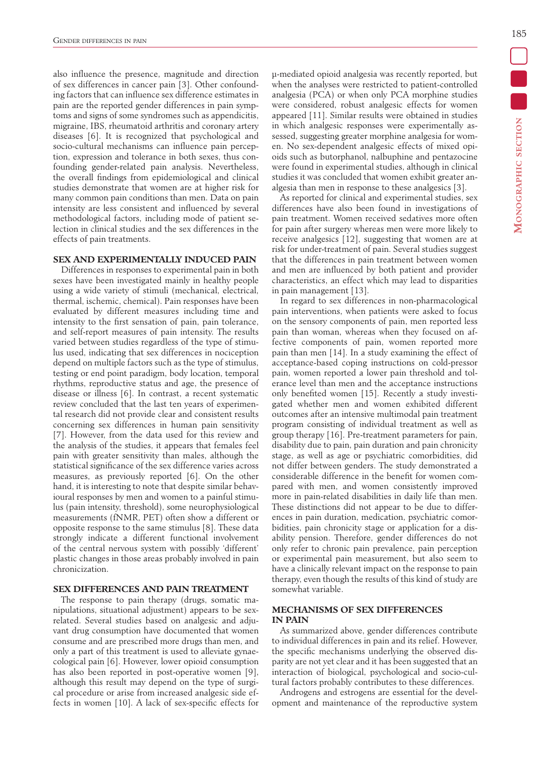also influence the presence, magnitude and direction of sex differences in cancer pain [3]. Other confounding factors that can influence sex difference estimates in pain are the reported gender differences in pain symptoms and signs of some syndromes such as appendicitis, migraine, IBS, rheumatoid arthritis and coronary artery diseases [6]. It is recognized that psychological and socio-cultural mechanisms can influence pain perception, expression and tolerance in both sexes, thus confounding gender-related pain analysis. Nevertheless, the overall findings from epidemiological and clinical studies demonstrate that women are at higher risk for many common pain conditions than men. Data on pain intensity are less consistent and influenced by several methodological factors, including mode of patient selection in clinical studies and the sex differences in the effects of pain treatments.

## **SEX AND EXPERIMENTALLY INDUCED PAIN**

Differences in responses to experimental pain in both sexes have been investigated mainly in healthy people using a wide variety of stimuli (mechanical, electrical, thermal, ischemic, chemical). Pain responses have been evaluated by different measures including time and intensity to the first sensation of pain, pain tolerance, and self-report measures of pain intensity. The results varied between studies regardless of the type of stimulus used, indicating that sex differences in nociception depend on multiple factors such as the type of stimulus, testing or end point paradigm, body location, temporal rhythms, reproductive status and age, the presence of disease or illness [6]. In contrast, a recent systematic review concluded that the last ten years of experimental research did not provide clear and consistent results concerning sex differences in human pain sensitivity [7]. However, from the data used for this review and the analysis of the studies, it appears that females feel pain with greater sensitivity than males, although the statistical significance of the sex difference varies across measures, as previously reported [6]. On the other hand, it is interesting to note that despite similar behavioural responses by men and women to a painful stimulus (pain intensity, threshold), some neurophysiological measurements (fNMR, PET) often show a different or opposite response to the same stimulus [8]. These data strongly indicate a different functional involvement of the central nervous system with possibly 'different' plastic changes in those areas probably involved in pain chronicization.

#### **SEX DIFFERENCES AND PAIN TREATMENT**

The response to pain therapy (drugs, somatic manipulations, situational adjustment) appears to be sexrelated. Several studies based on analgesic and adjuvant drug consumption have documented that women consume and are prescribed more drugs than men, and only a part of this treatment is used to alleviate gynaecological pain [6]. However, lower opioid consumption has also been reported in post-operative women [9], although this result may depend on the type of surgical procedure or arise from increased analgesic side effects in women [10]. A lack of sex-specific effects for μ-mediated opioid analgesia was recently reported, but when the analyses were restricted to patient-controlled analgesia (PCA) or when only PCA morphine studies were considered, robust analgesic effects for women appeared [11]. Similar results were obtained in studies in which analgesic responses were experimentally assessed, suggesting greater morphine analgesia for women. No sex-dependent analgesic effects of mixed opioids such as butorphanol, nalbuphine and pentazocine were found in experimental studies, although in clinical studies it was concluded that women exhibit greater analgesia than men in response to these analgesics [3].

As reported for clinical and experimental studies, sex differences have also been found in investigations of pain treatment. Women received sedatives more often for pain after surgery whereas men were more likely to receive analgesics [12], suggesting that women are at risk for under-treatment of pain. Several studies suggest that the differences in pain treatment between women and men are influenced by both patient and provider characteristics, an effect which may lead to disparities in pain management [13].

In regard to sex differences in non-pharmacological pain interventions, when patients were asked to focus on the sensory components of pain, men reported less pain than woman, whereas when they focused on affective components of pain, women reported more pain than men [14]. In a study examining the effect of acceptance-based coping instructions on cold-pressor pain, women reported a lower pain threshold and tolerance level than men and the acceptance instructions only benefited women [15]. Recently a study investigated whether men and women exhibited different outcomes after an intensive multimodal pain treatment program consisting of individual treatment as well as group therapy [16]. Pre-treatment parameters for pain, disability due to pain, pain duration and pain chronicity stage, as well as age or psychiatric comorbidities, did not differ between genders. The study demonstrated a considerable difference in the benefit for women compared with men, and women consistently improved more in pain-related disabilities in daily life than men. These distinctions did not appear to be due to differences in pain duration, medication, psychiatric comorbidities, pain chronicity stage or application for a disability pension. Therefore, gender differences do not only refer to chronic pain prevalence, pain perception or experimental pain measurement, but also seem to have a clinically relevant impact on the response to pain therapy, even though the results of this kind of study are somewhat variable.

## **MECHANISMS OF SEX DIFFERENCES IN PAIN**

As summarized above, gender differences contribute to individual differences in pain and its relief. However, the specific mechanisms underlying the observed disparity are not yet clear and it has been suggested that an interaction of biological, psychological and socio-cultural factors probably contributes to these differences.

Androgens and estrogens are essential for the development and maintenance of the reproductive system Ξ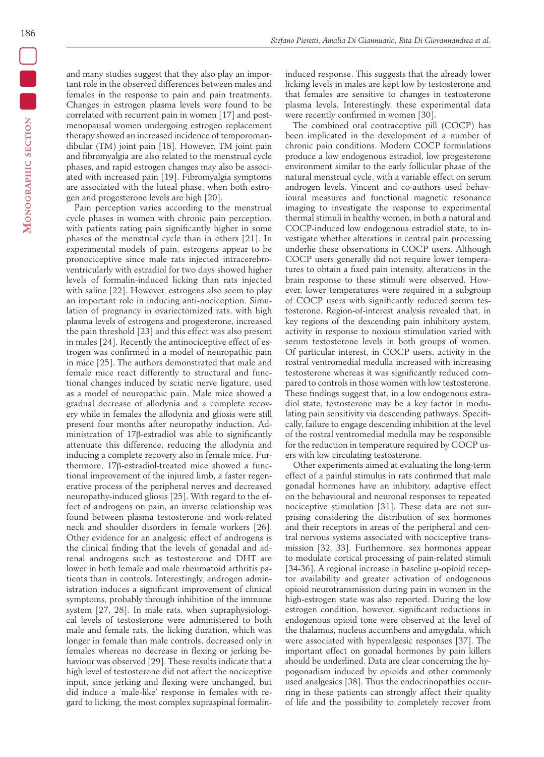and many studies suggest that they also play an important role in the observed differences between males and females in the response to pain and pain treatments. Changes in estrogen plasma levels were found to be correlated with recurrent pain in women [17] and postmenopausal women undergoing estrogen replacement therapy showed an increased incidence of temporomandibular (TM) joint pain [18]. However, TM joint pain and fibromyalgia are also related to the menstrual cycle phases, and rapid estrogen changes may also be associated with increased pain [19]. Fibromyalgia symptoms are associated with the luteal phase, when both estrogen and progesterone levels are high [20].

Pain perception varies according to the menstrual cycle phases in women with chronic pain perception, with patients rating pain significantly higher in some phases of the menstrual cycle than in others [21]. In experimental models of pain, estrogens appear to be pronociceptive since male rats injected intracerebroventricularly with estradiol for two days showed higher levels of formalin-induced licking than rats injected with saline [22]. However, estrogens also seem to play an important role in inducing anti-nociception. Simulation of pregnancy in ovariectomized rats, with high plasma levels of estrogens and progesterone, increased the pain threshold [23] and this effect was also present in males [24]. Recently the antinociceptive effect of estrogen was confirmed in a model of neuropathic pain in mice [25]. The authors demonstrated that male and female mice react differently to structural and functional changes induced by sciatic nerve ligature, used as a model of neuropathic pain. Male mice showed a gradual decrease of allodynia and a complete recovery while in females the allodynia and gliosis were still present four months after neuropathy induction. Administration of 17β-estradiol was able to significantly attenuate this difference, reducing the allodynia and inducing a complete recovery also in female mice. Furthermore, 17β-estradiol-treated mice showed a functional improvement of the injured limb, a faster regenerative process of the peripheral nerves and decreased neuropathy-induced gliosis [25]. With regard to the effect of androgens on pain, an inverse relationship was found between plasma testosterone and work-related neck and shoulder disorders in female workers [26]. Other evidence for an analgesic effect of androgens is the clinical finding that the levels of gonadal and adrenal androgens such as testosterone and DHT are lower in both female and male rheumatoid arthritis patients than in controls. Interestingly, androgen administration induces a significant improvement of clinical symptoms, probably through inhibition of the immune system [27, 28]. In male rats, when supraphysiological levels of testosterone were administered to both male and female rats, the licking duration, which was longer in female than male controls, decreased only in females whereas no decrease in flexing or jerking behaviour was observed [29]. These results indicate that a high level of testosterone did not affect the nociceptive input, since jerking and flexing were unchanged, but did induce a 'male-like' response in females with regard to licking, the most complex supraspinal formalininduced response. This suggests that the already lower licking levels in males are kept low by testosterone and that females are sensitive to changes in testosterone plasma levels. Interestingly, these experimental data were recently confirmed in women [30].

The combined oral contraceptive pill (COCP) has been implicated in the development of a number of chronic pain conditions. Modern COCP formulations produce a low endogenous estradiol, low progesterone environment similar to the early follicular phase of the natural menstrual cycle, with a variable effect on serum androgen levels. Vincent and co-authors used behavioural measures and functional magnetic resonance imaging to investigate the response to experimental thermal stimuli in healthy women, in both a natural and COCP-induced low endogenous estradiol state, to investigate whether alterations in central pain processing underlie these observations in COCP users. Although COCP users generally did not require lower temperatures to obtain a fixed pain intensity, alterations in the brain response to these stimuli were observed. However, lower temperatures were required in a subgroup of COCP users with significantly reduced serum testosterone. Region-of-interest analysis revealed that, in key regions of the descending pain inhibitory system, activity in response to noxious stimulation varied with serum testosterone levels in both groups of women. Of particular interest, in COCP users, activity in the rostral ventromedial medulla increased with increasing testosterone whereas it was significantly reduced compared to controls in those women with low testosterone. These findings suggest that, in a low endogenous estradiol state, testosterone may be a key factor in modulating pain sensitivity via descending pathways. Specifically, failure to engage descending inhibition at the level of the rostral ventromedial medulla may be responsible for the reduction in temperature required by COCP users with low circulating testosterone.

Other experiments aimed at evaluating the long-term effect of a painful stimulus in rats confirmed that male gonadal hormones have an inhibitory, adaptive effect on the behavioural and neuronal responses to repeated nociceptive stimulation [31]. These data are not surprising considering the distribution of sex hormones and their receptors in areas of the peripheral and central nervous systems associated with nociceptive transmission [32, 33]. Furthermore, sex hormones appear to modulate cortical processing of pain-related stimuli [34-36]. A regional increase in baseline μ-opioid receptor availability and greater activation of endogenous opioid neurotransmission during pain in women in the high-estrogen state was also reported. During the low estrogen condition, however, significant reductions in endogenous opioid tone were observed at the level of the thalamus, nucleus accumbens and amygdala, which were associated with hyperalgesic responses [37]. The important effect on gonadal hormones by pain killers should be underlined. Data are clear concerning the hypogonadism induced by opioids and other commonly used analgesics [38]. Thus the endocrinopathies occurring in these patients can strongly affect their quality of life and the possibility to completely recover from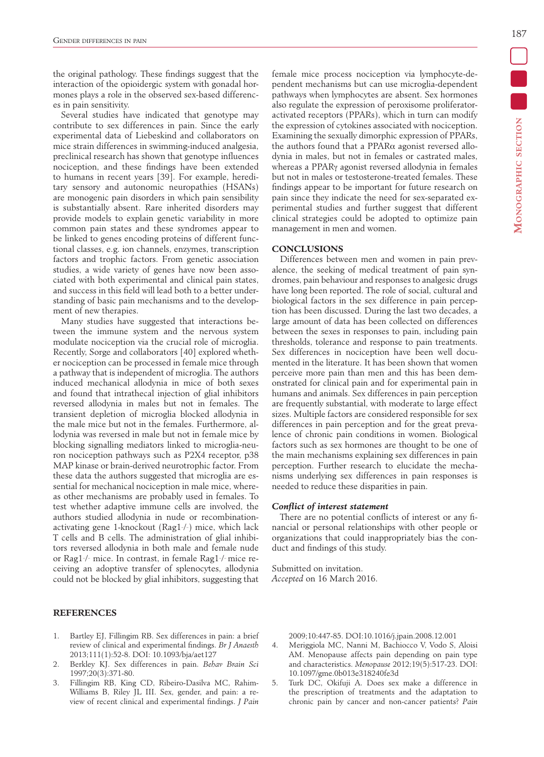the original pathology. These findings suggest that the interaction of the opioidergic system with gonadal hormones plays a role in the observed sex-based differences in pain sensitivity.

Several studies have indicated that genotype may contribute to sex differences in pain. Since the early experimental data of Liebeskind and collaborators on mice strain differences in swimming-induced analgesia, preclinical research has shown that genotype influences nociception, and these findings have been extended to humans in recent years [39]. For example, hereditary sensory and autonomic neuropathies (HSANs) are monogenic pain disorders in which pain sensibility is substantially absent. Rare inherited disorders may provide models to explain genetic variability in more common pain states and these syndromes appear to be linked to genes encoding proteins of different functional classes, e.g. ion channels, enzymes, transcription factors and trophic factors. From genetic association studies, a wide variety of genes have now been associated with both experimental and clinical pain states, and success in this field will lead both to a better understanding of basic pain mechanisms and to the development of new therapies.

Many studies have suggested that interactions between the immune system and the nervous system modulate nociception via the crucial role of microglia. Recently, Sorge and collaborators [40] explored whether nociception can be processed in female mice through a pathway that is independent of microglia. The authors induced mechanical allodynia in mice of both sexes and found that intrathecal injection of glial inhibitors reversed allodynia in males but not in females. The transient depletion of microglia blocked allodynia in the male mice but not in the females. Furthermore, allodynia was reversed in male but not in female mice by blocking signalling mediators linked to microglia-neuron nociception pathways such as P2X4 receptor, p38 MAP kinase or brain-derived neurotrophic factor. From these data the authors suggested that microglia are essential for mechanical nociception in male mice, whereas other mechanisms are probably used in females. To test whether adaptive immune cells are involved, the authors studied allodynia in nude or recombinationactivating gene 1-knockout (Rag1−/−) mice, which lack T cells and B cells. The administration of glial inhibitors reversed allodynia in both male and female nude or Rag1−/− mice. In contrast, in female Rag1−/− mice receiving an adoptive transfer of splenocytes, allodynia could not be blocked by glial inhibitors, suggesting that

## **REFERENCES**

- 1. Bartley EJ, Fillingim RB. Sex differences in pain: a brief review of clinical and experimental findings. *Br J Anaesth*  2013;111(1):52-8. DOI: 10.1093/bja/aet127
- 2. Berkley KJ. Sex differences in pain. *Behav Brain Sci*  1997;20(3):371-80.
- 3. Fillingim RB, King CD, Ribeiro-Dasilva MC, Rahim-Williams B, Riley JL III. Sex, gender, and pain: a review of recent clinical and experimental findings. *J Pain*

female mice process nociception via lymphocyte-dependent mechanisms but can use microglia-dependent pathways when lymphocytes are absent. Sex hormones also regulate the expression of peroxisome proliferatoractivated receptors (PPARs), which in turn can modify the expression of cytokines associated with nociception. Examining the sexually dimorphic expression of PPARs, the authors found that a PPARα agonist reversed allodynia in males, but not in females or castrated males, whereas a PPARγ agonist reversed allodynia in females but not in males or testosterone-treated females. These findings appear to be important for future research on pain since they indicate the need for sex-separated experimental studies and further suggest that different clinical strategies could be adopted to optimize pain management in men and women.

### **CONCLUSIONS**

Differences between men and women in pain prevalence, the seeking of medical treatment of pain syndromes, pain behaviour and responses to analgesic drugs have long been reported. The role of social, cultural and biological factors in the sex difference in pain perception has been discussed. During the last two decades, a large amount of data has been collected on differences between the sexes in responses to pain, including pain thresholds, tolerance and response to pain treatments. Sex differences in nociception have been well documented in the literature. It has been shown that women perceive more pain than men and this has been demonstrated for clinical pain and for experimental pain in humans and animals. Sex differences in pain perception are frequently substantial, with moderate to large effect sizes. Multiple factors are considered responsible for sex differences in pain perception and for the great prevalence of chronic pain conditions in women. Biological factors such as sex hormones are thought to be one of the main mechanisms explaining sex differences in pain perception. Further research to elucidate the mechanisms underlying sex differences in pain responses is needed to reduce these disparities in pain.

## *Conflict of interest statement*

There are no potential conflicts of interest or any financial or personal relationships with other people or organizations that could inappropriately bias the conduct and findings of this study.

Submitted on invitation. *Accepted* on 16 March 2016.

2009;10:447-85. DOI:10.1016/j.jpain.2008.12.001

- 4. Meriggiola MC, Nanni M, Bachiocco V, Vodo S, Aloisi AM. Menopause affects pain depending on pain type and characteristics. *Menopause* 2012;19(5):517-23. DOI: 10.1097/gme.0b013e318240fe3d
- 5. Turk DC, Okifuji A. Does sex make a difference in the prescription of treatments and the adaptation to chronic pain by cancer and non-cancer patients? *Pain*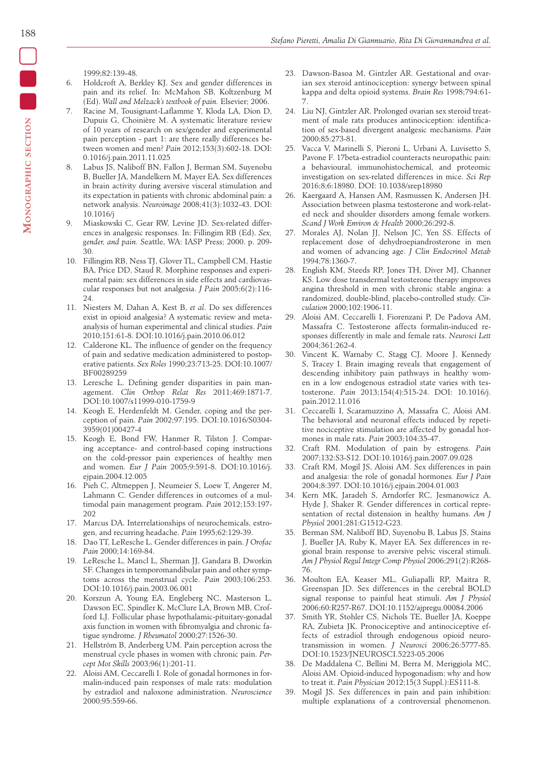1999;82:139-48.

- 6. Holdcroft A, Berkley KJ. Sex and gender differences in pain and its relief. In: McMahon SB, Koltzenburg M (Ed). *Wall and Melzack's textbook of pain.* Elsevier; 2006.
- 7. Racine M, Tousignant-Laflamme Y, Kloda LA, Dion D, Dupuis G, Choinière M. A systematic literature review of 10 years of research on sex/gender and experimental pain perception - part 1: are there really differences between women and men? *Pain* 2012;153(3):602-18. DOI: 0.1016/j.pain.2011.11.025
- 8. Labus JS, Naliboff BN, Fallon J, Berman SM, Suyenobu B, Bueller JA, Mandelkern M, Mayer EA. Sex differences in brain activity during aversive visceral stimulation and its expectation in patients with chronic abdominal pain: a network analysis. *Neuroimage* 2008;41(3):1032-43. DOI: 10.1016/j
- 9. Miaskowski C, Gear RW, Levine JD. Sex-related differences in analgesic responses. In: Fillingim RB (Ed). *Sex, gender, and pain.* Seattle, WA: IASP Press; 2000. p. 209- 30.
- 10. Fillingim RB, Ness TJ, Glover TL, Campbell CM, Hastie BA, Price DD, Staud R. Morphine responses and experimental pain: sex differences in side effects and cardiovascular responses but not analgesia. *J Pain* 2005;6(2):116-  $24.$
- 11. Niesters M, Dahan A, Kest B, *et al*. Do sex differences exist in opioid analgesia? A systematic review and metaanalysis of human experimental and clinical studies. *Pain*  2010;151:61-8. DOI:10.1016/j.pain.2010.06.012
- 12. Calderone KL. The influence of gender on the frequency of pain and sedative medication administered to postoperative patients. *Sex Roles* 1990;23:713-25. DOI:10.1007/ BF00289259
- 13. Leresche L. Defining gender disparities in pain management. *Clin Orthop Relat Res* 2011;469:1871-7. DOI:10.1007/s11999-010-1759-9
- 14. Keogh E, Herdenfeldt M. Gender, coping and the perception of pain. *Pain* 2002;97:195. DOI:10.1016/S0304- 3959(01)00427-4
- 15. Keogh E, Bond FW, Hanmer R, Tilston J. Comparing acceptance- and control-based coping instructions on the cold-pressor pain experiences of healthy men and women. *Eur J Pain* 2005;9:591-8. DOI:10.1016/j. ejpain.2004.12.005
- 16. Pieh C, Altmeppen J, Neumeier S, Loew T, Angerer M, Lahmann C. Gender differences in outcomes of a multimodal pain management program. *Pain* 2012;153:197- 202
- 17. Marcus DA. Interrelationships of neurochemicals, estrogen, and recurring headache. *Pain* 1995;62:129-39.
- 18. Dao TT, LeResche L. Gender differences in pain. *J Orofac Pain* 2000;14:169-84.
- 19. LeResche L, Mancl L, Sherman JJ, Gandara B, Dworkin SF. Changes in temporomandibular pain and other symptoms across the menstrual cycle. *Pain* 2003;106:253. DOI:10.1016/j.pain.2003.06.001
- 20. Korszun A, Young EA, Engleberg NC, Masterson L, Dawson EC, Spindler K, McClure LA, Brown MB, Crofford LJ. Follicular phase hypothalamic-pituitary-gonadal axis function in women with fibromyalgia and chronic fatigue syndrome. *J Rheumatol* 2000;27:1526-30.
- 21. Hellström B, Anderberg UM. Pain perception across the menstrual cycle phases in women with chronic pain. *Percept Mot Skills* 2003;96(1):201-11.
- 22. Aloisi AM, Ceccarelli I. Role of gonadal hormones in formalin-induced pain responses of male rats: modulation by estradiol and naloxone administration. *Neuroscience*  2000;95:559-66.
- 23. Dawson-Basoa M, Gintzler AR. Gestational and ovarian sex steroid antinociception: synergy between spinal kappa and delta opioid systems. *Brain Res* 1998;794:61- 7.
- 24. Liu NJ, Gintzler AR. Prolonged ovarian sex steroid treatment of male rats produces antinociception: identification of sex-based divergent analgesic mechanisms. *Pain*  2000;85:273-81.
- 25. Vacca V, Marinelli S, Pieroni L, Urbani A, Luvisetto S, Pavone F. 17beta-estradiol counteracts neuropathic pain: a behavioural, immunohistochemical, and proteomic investigation on sex-related differences in mice. *Sci Rep*  2016;8;6:18980. DOI: 10.1038/srep18980
- 26. Kaergaard A, Hansen AM, Rasmussen K, Andersen JH. Association between plasma testosterone and work-related neck and shoulder disorders among female workers. *Scand J Work Environ & Health* 2000;26:292-8.
- 27. Morales AJ, Nolan JJ, Nelson JC, Yen SS. Effects of replacement dose of dehydroepiandrosterone in men and women of advancing age. *J Clin Endocrinol Metab*  1994;78:1360-7.
- 28. English KM, Steeds RP, Jones TH, Diver MJ, Channer KS. Low dose transdermal testosterone therapy improves angina threshold in men with chronic stable angina: a randomized, double-blind, placebo-controlled study. *Circulation* 2000;102:1906-11.
- 29. Aloisi AM, Ceccarelli I, Fiorenzani P, De Padova AM, Massafra C. Testosterone affects formalin-induced responses differently in male and female rats. *Neurosci Lett*  2004;361:262-4.
- 30. Vincent K, Warnaby C, Stagg CJ, Moore J, Kennedy S, Tracey I. Brain imaging reveals that engagement of descending inhibitory pain pathways in healthy women in a low endogenous estradiol state varies with testosterone. *Pain* 2013;154(4):515-24. DOI: 10.1016/j. pain.2012.11.016
- 31. Ceccarelli I, Scaramuzzino A, Massafra C, Aloisi AM. The behavioral and neuronal effects induced by repetitive nociceptive stimulation are affected by gonadal hormones in male rats. *Pain* 2003;104:35-47.
- 32. Craft RM. Modulation of pain by estrogens. *Pain*  2007;132:S3-S12. DOI:10.1016/j.pain.2007.09.028
- 33. Craft RM, Mogil JS, Aloisi AM. Sex differences in pain and analgesia: the role of gonadal hormones*. Eur J Pain*  2004;8:397. DOI:10.1016/j.ejpain.2004.01.003
- 34. Kern MK, Jaradeh S, Arndorfer RC, Jesmanowicz A, Hyde J, Shaker R. Gender differences in cortical representation of rectal distension in healthy humans. *Am J Physiol* 2001;281:G1512-G23.
- 35. Berman SM, Naliboff BD, Suyenobu B, Labus JS, Stains J, Bueller JA, Ruby K, Mayer EA. Sex differences in regional brain response to aversive pelvic visceral stimuli. *Am J Physiol Regul Integr Comp Physiol* 2006;291(2):R268- 76.
- 36. Moulton EA, Keaser ML, Guliapalli RP, Maitra R, Greenspan JD. Sex differences in the cerebral BOLD signal response to painful heat stimuli. *Am J Physiol*  2006;60:R257-R67. DOI:10.1152/ajpregu.00084.2006
- 37. Smith YR, Stohler CS, Nichols TE, Bueller JA, Koeppe RA, Zubieta JK. Pronociceptive and antinociceptive effects of estradiol through endogenous opioid neurotransmission in women. *J Neurosci* 2006;26:5777-85. DOI:10.1523/JNEUROSCI.5223-05.2006
- 38. De Maddalena C, Bellini M, Berra M, Meriggiola MC, Aloisi AM. Opioid-induced hypogonadism: why and how to treat it. *Pain Physician* 2012;15(3 Suppl.):ES111-8.
- 39. Mogil JS. Sex differences in pain and pain inhibition: multiple explanations of a controversial phenomenon.